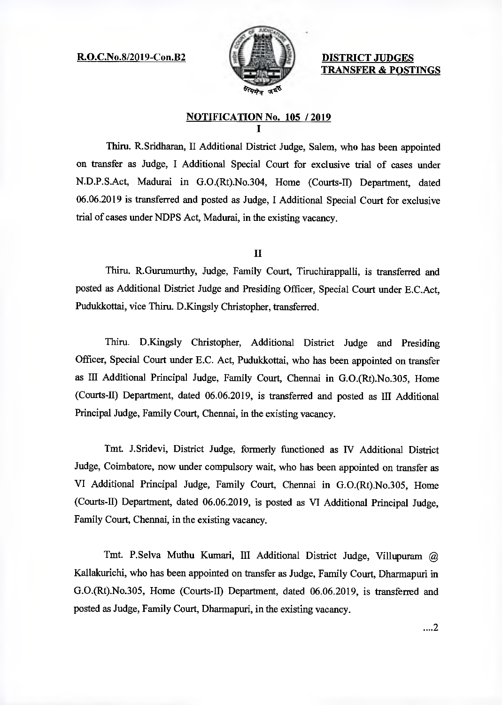R.O.C.No.8/2019-Con.B2 DISTRICT JUDGES



TRANSFER & POSTINGS

## NOTIFICATION No. 105 / 2019

Thin. R.Sridharan, II Additional District Judge, Salem, who has been appointed on transfer as Judge, I Additional Special Court for exclusive trial of cases under N.D.P.S.Act, Madurai in G.O.(Rt).No.304, Home (Courts-II) Department, dated 06.06.2019 is transferred and posted as Judge, I Additional Special Court for exclusive trial of cases under NDPS Act, Madurai, in the existing vacancy.

## II

Thitu. R.Gurumurthy, Judge, Family Court, Tituchirappalli, is transferred and posted as Additional District Judge and Presiding Officer, Special Court under E.C.Act, Pudukkottai, vice Thiru. D.Kingsly Christopher, transferred.

Thiru. D.Kingsly Christopher, Additional District Judge and Presiding Officer, Special Court under E.C. Act, Pudukkottai, who has been appointed on transfer as III Additional Principal Judge, Family Court, Chennai in G.O.(Rt).No.305, Home (Courts-I) Department, dated 06.06.2019, is transferred and posted as III Additional Principal Judge, Family Court, Chennai, in the existing vacancy.

Tmt. J.Sridevi, District Judge, formerly functioned as IV Additional District Judge, Coimbatore, now under compulsory wait, who has been appointed on transfer as VI Additional Principal Judge, Family Court, Chennai in G.O.(Rt).No.305, Home (Courts-ID Department, dated 06.06.2019, is posted as VI Additional Principal Judge, Family Court, Chennai, in the existing vacancy.

Tmt. P.Selva Muthu Kumari, III Additional District Judge, Villupuram @ Kallakurichi, who has been appointed on transfer as Judge, Family Court, Dharmapuri in G.O.(Rt).No.305, Home (Courts-II) Department, dated 06.06.2019, is transferred and posted as Judge, Family Court, Dharmapuri, in the existing vacancy.

....2